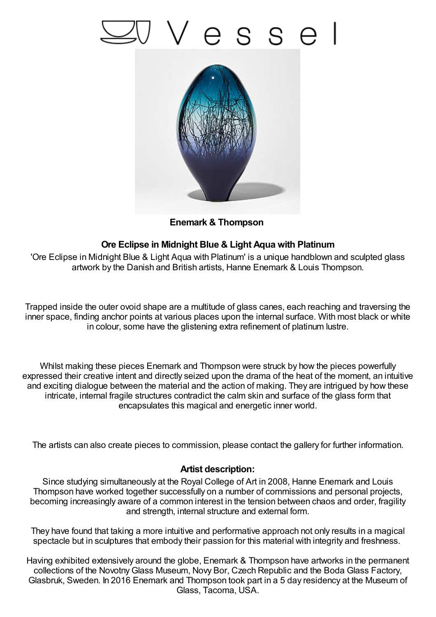## 'esse



**Enemark & Thompson**

## **Ore Eclipse in Midnight Blue & Light Aqua with Platinum**

'Ore Eclipse in Midnight Blue & Light Aqua with Platinum' is a unique handblown and sculpted glass artwork by the Danish and British artists, Hanne Enemark & Louis Thompson.

Trapped inside the outer ovoid shape are a multitude of glass canes, each reaching and traversing the inner space, finding anchor points at various places upon the internal surface. With most black or white in colour, some have the glistening extra refinement of platinum lustre.

Whilst making these pieces Enemark and Thompson were struck by how the pieces powerfully expressed their creative intent and directly seized upon the drama of the heat of the moment, an intuitive and exciting dialogue between the material and the action of making. They are intrigued by how these intricate, internal fragile structures contradict the calm skin and surface of the glass form that encapsulates this magical and energetic inner world.

The artists can also create pieces to commission, please contact the gallery for further information.

## **Artist description:**

Since studying simultaneously at the Royal College of Art in 2008, Hanne Enemark and Louis Thompson have worked together successfully on a number of commissions and personal projects, becoming increasingly aware of a common interest in the tension between chaos and order, fragility and strength, internal structure and external form.

They have found that taking a more intuitive and performative approach not only results in a magical spectacle but in sculptures that embody their passion for this material with integrity and freshness.

Having exhibited extensively around the globe, Enemark & Thompson have artworks in the permanent collections of the NovotnyGlass Museum, Novy Bor, Czech Republic and the Boda Glass Factory, Glasbruk, Sweden. In 2016 Enemark and Thompson took part in a 5 day residency at the Museum of Glass, Tacoma, USA.